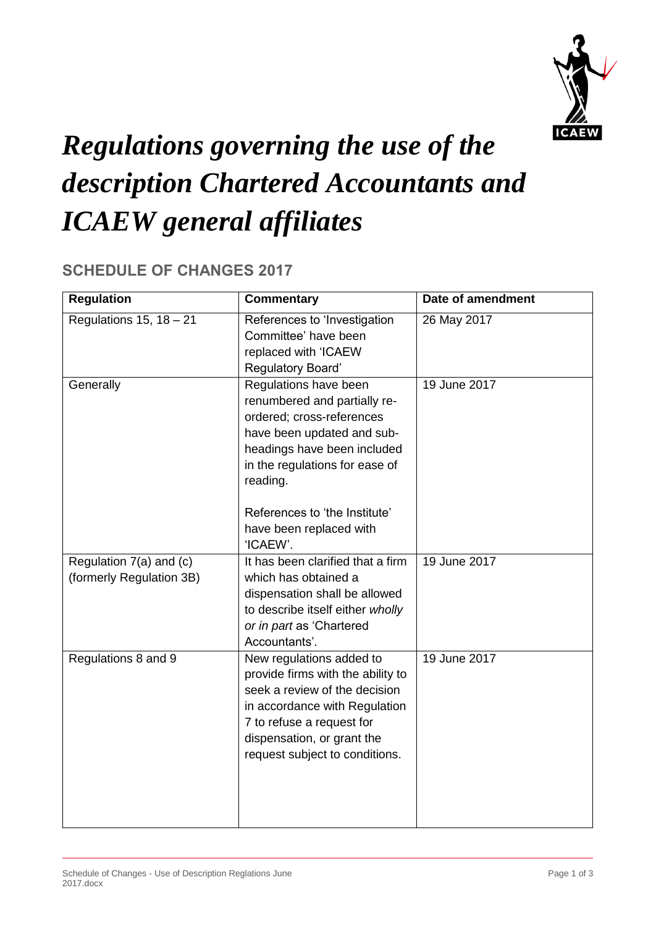

## *Regulations governing the use of the description Chartered Accountants and ICAEW general affiliates*

## **SCHEDULE OF CHANGES 2017**

| <b>Regulation</b>                                   | <b>Commentary</b>                                                                                                                                                                                                              | Date of amendment |
|-----------------------------------------------------|--------------------------------------------------------------------------------------------------------------------------------------------------------------------------------------------------------------------------------|-------------------|
| Regulations 15, $18 - 21$                           | References to 'Investigation<br>Committee' have been<br>replaced with 'ICAEW<br>Regulatory Board'                                                                                                                              | 26 May 2017       |
| Generally                                           | Regulations have been<br>renumbered and partially re-<br>ordered; cross-references<br>have been updated and sub-<br>headings have been included<br>in the regulations for ease of<br>reading.<br>References to 'the Institute' | 19 June 2017      |
|                                                     | have been replaced with<br>'ICAEW'.                                                                                                                                                                                            |                   |
| Regulation 7(a) and (c)<br>(formerly Regulation 3B) | It has been clarified that a firm<br>which has obtained a<br>dispensation shall be allowed<br>to describe itself either wholly<br>or in part as 'Chartered<br>Accountants'.                                                    | 19 June 2017      |
| Regulations 8 and 9                                 | New regulations added to<br>provide firms with the ability to<br>seek a review of the decision<br>in accordance with Regulation<br>7 to refuse a request for<br>dispensation, or grant the<br>request subject to conditions.   | 19 June 2017      |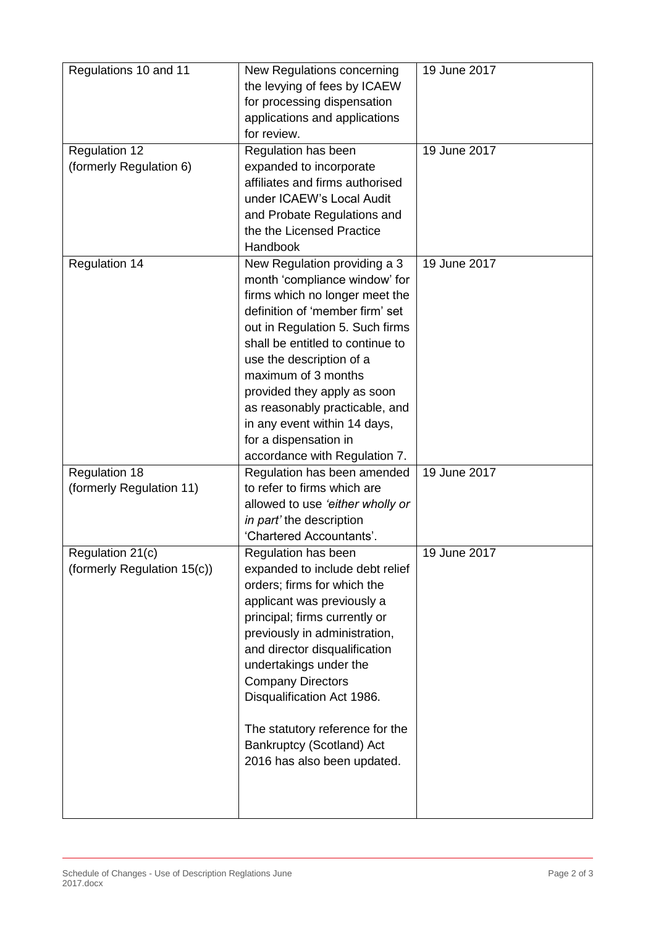| Regulations 10 and 11<br><b>Regulation 12</b>    | New Regulations concerning<br>the levying of fees by ICAEW<br>for processing dispensation<br>applications and applications<br>for review.<br>Regulation has been                                                                                                                                                                                                                                                        | 19 June 2017<br>19 June 2017 |
|--------------------------------------------------|-------------------------------------------------------------------------------------------------------------------------------------------------------------------------------------------------------------------------------------------------------------------------------------------------------------------------------------------------------------------------------------------------------------------------|------------------------------|
| (formerly Regulation 6)                          | expanded to incorporate<br>affiliates and firms authorised<br>under ICAEW's Local Audit<br>and Probate Regulations and<br>the the Licensed Practice<br>Handbook                                                                                                                                                                                                                                                         |                              |
| <b>Regulation 14</b>                             | New Regulation providing a 3<br>month 'compliance window' for<br>firms which no longer meet the<br>definition of 'member firm' set<br>out in Regulation 5. Such firms<br>shall be entitled to continue to<br>use the description of a<br>maximum of 3 months<br>provided they apply as soon<br>as reasonably practicable, and<br>in any event within 14 days,<br>for a dispensation in<br>accordance with Regulation 7. | 19 June 2017                 |
| <b>Regulation 18</b><br>(formerly Regulation 11) | Regulation has been amended<br>to refer to firms which are<br>allowed to use 'either wholly or<br>in part' the description<br>'Chartered Accountants'.                                                                                                                                                                                                                                                                  | 19 June 2017                 |
| Regulation 21(c)<br>(formerly Regulation 15(c))  | Regulation has been<br>expanded to include debt relief<br>orders; firms for which the<br>applicant was previously a<br>principal; firms currently or<br>previously in administration,<br>and director disqualification<br>undertakings under the<br><b>Company Directors</b><br>Disqualification Act 1986.<br>The statutory reference for the<br>Bankruptcy (Scotland) Act<br>2016 has also been updated.               | 19 June 2017                 |